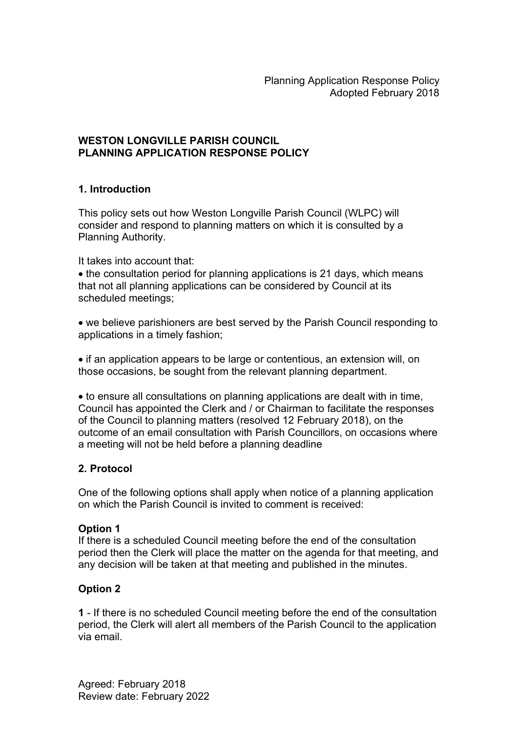### WESTON LONGVILLE PARISH COUNCIL PLANNING APPLICATION RESPONSE POLICY

# 1. Introduction

This policy sets out how Weston Longville Parish Council (WLPC) will consider and respond to planning matters on which it is consulted by a Planning Authority.

#### It takes into account that:

• the consultation period for planning applications is 21 days, which means that not all planning applications can be considered by Council at its scheduled meetings;

 we believe parishioners are best served by the Parish Council responding to applications in a timely fashion;

• if an application appears to be large or contentious, an extension will, on those occasions, be sought from the relevant planning department.

 to ensure all consultations on planning applications are dealt with in time, Council has appointed the Clerk and / or Chairman to facilitate the responses of the Council to planning matters (resolved 12 February 2018), on the outcome of an email consultation with Parish Councillors, on occasions where a meeting will not be held before a planning deadline

### 2. Protocol

One of the following options shall apply when notice of a planning application on which the Parish Council is invited to comment is received:

### Option 1

If there is a scheduled Council meeting before the end of the consultation period then the Clerk will place the matter on the agenda for that meeting, and any decision will be taken at that meeting and published in the minutes.

### Option 2

1 - If there is no scheduled Council meeting before the end of the consultation period, the Clerk will alert all members of the Parish Council to the application via email.